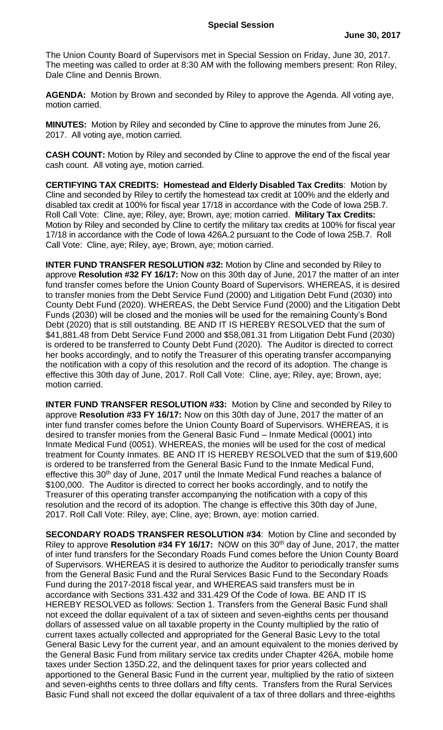The Union County Board of Supervisors met in Special Session on Friday, June 30, 2017. The meeting was called to order at 8:30 AM with the following members present: Ron Riley, Dale Cline and Dennis Brown.

**AGENDA:** Motion by Brown and seconded by Riley to approve the Agenda. All voting aye, motion carried.

**MINUTES:** Motion by Riley and seconded by Cline to approve the minutes from June 26, 2017. All voting aye, motion carried.

**CASH COUNT:** Motion by Riley and seconded by Cline to approve the end of the fiscal year cash count. All voting aye, motion carried.

**CERTIFYING TAX CREDITS: Homestead and Elderly Disabled Tax Credits**: Motion by Cline and seconded by Riley to certify the homestead tax credit at 100% and the elderly and disabled tax credit at 100% for fiscal year 17/18 in accordance with the Code of Iowa 25B.7. Roll Call Vote: Cline, aye; Riley, aye; Brown, aye; motion carried. **Military Tax Credits:** Motion by Riley and seconded by Cline to certify the military tax credits at 100% for fiscal year 17/18 in accordance with the Code of Iowa 426A.2 pursuant to the Code of Iowa 25B.7. Roll Call Vote: Cline, aye; Riley, aye; Brown, aye; motion carried.

**INTER FUND TRANSFER RESOLUTION #32:** Motion by Cline and seconded by Riley to approve **Resolution #32 FY 16/17:** Now on this 30th day of June, 2017 the matter of an inter fund transfer comes before the Union County Board of Supervisors. WHEREAS, it is desired to transfer monies from the Debt Service Fund (2000) and Litigation Debt Fund (2030) into County Debt Fund (2020). WHEREAS, the Debt Service Fund (2000) and the Litigation Debt Funds (2030) will be closed and the monies will be used for the remaining County's Bond Debt (2020) that is still outstanding. BE AND IT IS HEREBY RESOLVED that the sum of \$41,881.48 from Debt Service Fund 2000 and \$58,081.31 from Litigation Debt Fund (2030) is ordered to be transferred to County Debt Fund (2020). The Auditor is directed to correct her books accordingly, and to notify the Treasurer of this operating transfer accompanying the notification with a copy of this resolution and the record of its adoption. The change is effective this 30th day of June, 2017. Roll Call Vote: Cline, aye; Riley, aye; Brown, aye; motion carried.

**INTER FUND TRANSFER RESOLUTION #33:** Motion by Cline and seconded by Riley to approve **Resolution #33 FY 16/17:** Now on this 30th day of June, 2017 the matter of an inter fund transfer comes before the Union County Board of Supervisors. WHEREAS, it is desired to transfer monies from the General Basic Fund – Inmate Medical (0001) into Inmate Medical Fund (0051). WHEREAS, the monies will be used for the cost of medical treatment for County Inmates. BE AND IT IS HEREBY RESOLVED that the sum of \$19,600 is ordered to be transferred from the General Basic Fund to the Inmate Medical Fund, effective this 30<sup>th</sup> day of June, 2017 until the Inmate Medical Fund reaches a balance of \$100,000. The Auditor is directed to correct her books accordingly, and to notify the Treasurer of this operating transfer accompanying the notification with a copy of this resolution and the record of its adoption. The change is effective this 30th day of June, 2017. Roll Call Vote: Riley, aye; Cline, aye; Brown, aye: motion carried.

**SECONDARY ROADS TRANSFER RESOLUTION #34**: Motion by Cline and seconded by Riley to approve Resolution #34 FY 16/17: NOW on this 30<sup>th</sup> day of June, 2017, the matter of inter fund transfers for the Secondary Roads Fund comes before the Union County Board of Supervisors. WHEREAS it is desired to authorize the Auditor to periodically transfer sums from the General Basic Fund and the Rural Services Basic Fund to the Secondary Roads Fund during the 2017-2018 fiscal year, and WHEREAS said transfers must be in accordance with Sections 331.432 and 331.429 Of the Code of Iowa. BE AND IT IS HEREBY RESOLVED as follows: Section 1. Transfers from the General Basic Fund shall not exceed the dollar equivalent of a tax of sixteen and seven-eighths cents per thousand dollars of assessed value on all taxable property in the County multiplied by the ratio of current taxes actually collected and appropriated for the General Basic Levy to the total General Basic Levy for the current year, and an amount equivalent to the monies derived by the General Basic Fund from military service tax credits under Chapter 426A, mobile home taxes under Section 135D.22, and the delinquent taxes for prior years collected and apportioned to the General Basic Fund in the current year, multiplied by the ratio of sixteen and seven-eighths cents to three dollars and fifty cents. Transfers from the Rural Services Basic Fund shall not exceed the dollar equivalent of a tax of three dollars and three-eighths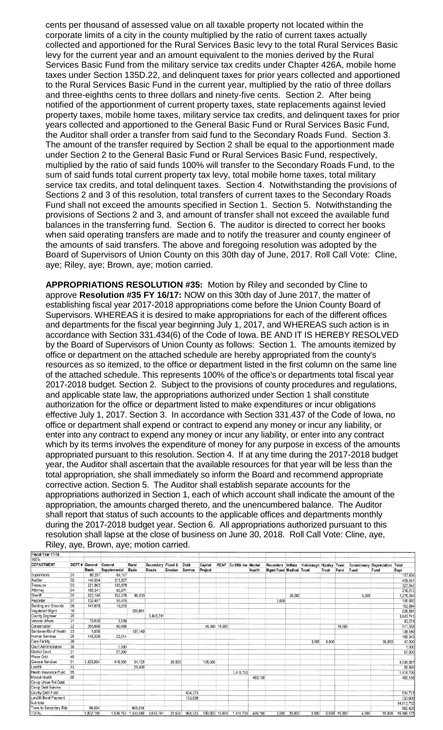cents per thousand of assessed value on all taxable property not located within the corporate limits of a city in the county multiplied by the ratio of current taxes actually collected and apportioned for the Rural Services Basic levy to the total Rural Services Basic levy for the current year and an amount equivalent to the monies derived by the Rural Services Basic Fund from the military service tax credits under Chapter 426A, mobile home taxes under Section 135D.22, and delinquent taxes for prior years collected and apportioned to the Rural Services Basic Fund in the current year, multiplied by the ratio of three dollars and three-eighths cents to three dollars and ninety-five cents. Section 2. After being notified of the apportionment of current property taxes, state replacements against levied property taxes, mobile home taxes, military service tax credits, and delinquent taxes for prior years collected and apportioned to the General Basic Fund or Rural Services Basic Fund, the Auditor shall order a transfer from said fund to the Secondary Roads Fund. Section 3. The amount of the transfer required by Section 2 shall be equal to the apportionment made under Section 2 to the General Basic Fund or Rural Services Basic Fund, respectively, multiplied by the ratio of said funds 100% will transfer to the Secondary Roads Fund, to the sum of said funds total current property tax levy, total mobile home taxes, total military service tax credits, and total delinquent taxes. Section 4. Notwithstanding the provisions of Sections 2 and 3 of this resolution, total transfers of current taxes to the Secondary Roads Fund shall not exceed the amounts specified in Section 1. Section 5. Notwithstanding the provisions of Sections 2 and 3, and amount of transfer shall not exceed the available fund balances in the transferring fund. Section 6. The auditor is directed to correct her books when said operating transfers are made and to notify the treasurer and county engineer of the amounts of said transfers. The above and foregoing resolution was adopted by the Board of Supervisors of Union County on this 30th day of June, 2017. Roll Call Vote: Cline, aye; Riley, aye; Brown, aye; motion carried.

**APPROPRIATIONS RESOLUTION #35:** Motion by Riley and seconded by Cline to approve **Resolution #35 FY 16/17:** NOW on this 30th day of June 2017, the matter of establishing fiscal year 2017-2018 appropriations come before the Union County Board of Supervisors. WHEREAS it is desired to make appropriations for each of the different offices and departments for the fiscal year beginning July 1, 2017, and WHEREAS such action is in accordance with Section 331.434(6) of the Code of Iowa. BE AND IT IS HEREBY RESOLVED by the Board of Supervisors of Union County as follows: Section 1. The amounts itemized by office or department on the attached schedule are hereby appropriated from the county's resources as so itemized, to the office or department listed in the first column on the same line of the attached schedule. This represents 100% of the office's or departments total fiscal year 2017-2018 budget. Section 2. Subject to the provisions of county procedures and regulations, and applicable state law, the appropriations authorized under Section 1 shall constitute authorization for the office or department listed to make expenditures or incur obligations effective July 1, 2017. Section 3. In accordance with Section 331.437 of the Code of Iowa, no office or department shall expend or contract to expend any money or incur any liability, or enter into any contract to expend any money or incur any liability, or enter into any contract which by its terms involves the expenditure of money for any purpose in excess of the amounts appropriated pursuant to this resolution. Section 4. If at any time during the 2017-2018 budget year, the Auditor shall ascertain that the available resources for that year will be less than the total appropriation, she shall immediately so inform the Board and recommend appropriate corrective action. Section 5. The Auditor shall establish separate accounts for the appropriations authorized in Section 1, each of which account shall indicate the amount of the appropriation, the amounts charged thereto, and the unencumbered balance. The Auditor shall report that status of such accounts to the applicable offices and departments monthly during the 2017-2018 budget year. Section 6. All appropriations authorized pursuant to this resolution shall lapse at the close of business on June 30, 2018. Roll Call Vote: Cline, aye, Riley, aye, Brown, aye; motion carried.

| 100%                    |                 | DEPT # General<br>Basic | General<br>Supplemental | Rural<br><b>Basic</b> |                               | Erosion | Debt<br>Service | Capital<br>Project |               | REAP Co Hith Ins Mental | Health  | <b>Mgmt Fund Medical Trust</b> |              | Recorders InMate Hixinbaugh Hipsley Trust | Trust | Fund         | <b>Comminsary Depreciation Total</b><br>Fund | Fund   | Dept       |
|-------------------------|-----------------|-------------------------|-------------------------|-----------------------|-------------------------------|---------|-----------------|--------------------|---------------|-------------------------|---------|--------------------------------|--------------|-------------------------------------------|-------|--------------|----------------------------------------------|--------|------------|
| DEPARTMENT              |                 |                         |                         |                       | Secondary Flood &<br>Roads    |         |                 |                    |               |                         |         |                                |              |                                           |       |              |                                              |        |            |
|                         |                 |                         |                         |                       |                               |         |                 |                    |               |                         |         |                                |              |                                           |       |              |                                              |        |            |
| Auditor                 | 02              | 140,034                 | 315,507                 |                       |                               |         |                 |                    |               |                         |         |                                |              |                                           |       |              |                                              |        | 455,541    |
| Treasurer               | 03              | 221,963                 | 105.879                 |                       |                               |         |                 |                    |               |                         |         |                                |              |                                           |       |              |                                              |        | 327,842    |
| Attorney                | 04              | 155,341                 | 60.671                  |                       |                               |         |                 |                    |               |                         |         |                                |              |                                           |       |              |                                              |        | 216,012    |
| Sheriff                 | 05              | 822,196                 | 332,378                 | 96,430                |                               |         |                 |                    |               |                         |         |                                | 20,000       |                                           |       |              | 4,000                                        |        | 1.275.004  |
| Recorder                | 07              | 132,487                 | 55,415                  |                       |                               |         |                 |                    |               |                         |         | 3.000                          |              |                                           |       |              |                                              |        | 190,902    |
| Building and Grounds    | 08              | 147,679                 | 16.015                  |                       |                               |         |                 |                    |               |                         |         |                                |              |                                           |       |              |                                              |        | 163,694    |
| Vegatation Mgmt         | 18              |                         |                         | 228.891               |                               |         |                 |                    |               |                         |         |                                |              |                                           |       |              |                                              |        | 228,891    |
| County Engineer         | 20              |                         |                         |                       | 3,643,741                     |         |                 |                    |               |                         |         |                                |              |                                           |       |              |                                              |        | 3,643,741  |
| Veteran Affairs         | $\overline{21}$ | 79,535                  | 3.539                   |                       |                               |         |                 |                    |               |                         |         |                                |              |                                           |       |              |                                              |        | 83,074     |
| Conservation            | 22              | 355,690                 | 80.668                  |                       |                               |         |                 |                    | 45,000 15,000 |                         |         |                                |              |                                           |       | 15,000       |                                              |        | 511,358    |
| Sanitarian/Bd of Health | 23              | 1,050                   |                         | 137,140               |                               |         |                 |                    |               |                         |         |                                |              |                                           |       |              |                                              |        | 138,190    |
| Human Services          | 25              | 145.329                 | 23.014                  |                       |                               |         |                 |                    |               |                         |         |                                |              |                                           |       |              |                                              |        | 168,343    |
| Care Facility           | 26              |                         |                         |                       |                               |         |                 |                    |               |                         |         |                                |              | 3,500                                     | 8,500 |              |                                              | 35,000 | 47,000     |
| Court Administration    | 30              |                         | 1,000                   |                       |                               |         |                 |                    |               |                         |         |                                |              |                                           |       |              |                                              |        | 1,000      |
| District Court          | 31              |                         | 57.000                  |                       |                               |         |                 |                    |               |                         |         |                                |              |                                           |       |              |                                              |        | 57,000     |
| Water Grid              | 40              |                         |                         |                       |                               |         |                 |                    |               |                         |         |                                |              |                                           |       |              |                                              |        |            |
| General Services        | 51              | 3.425.984               | 416.500                 | 34,103                |                               | 26,500  |                 | 135,000            |               |                         |         |                                |              |                                           |       |              |                                              |        | 4,038,087  |
| Landfill                | 53              |                         |                         | 28,460                |                               |         |                 |                    |               |                         |         |                                |              |                                           |       |              |                                              |        | 28,460     |
| Health Insurance Fund   | 55              |                         |                         |                       |                               |         |                 |                    |               | 1,418,700               |         |                                |              |                                           |       |              |                                              |        | 1,418,700  |
| Mental Health           | 60              |                         |                         |                       |                               |         |                 |                    |               |                         | 495,156 |                                |              |                                           |       |              |                                              |        | 495,156    |
| Co-op Urban Rnl Debt    |                 |                         |                         |                       |                               |         |                 |                    |               |                         |         |                                |              |                                           |       |              |                                              |        |            |
| Co-op Debt Service      |                 |                         |                         |                       |                               |         |                 |                    |               |                         |         |                                |              |                                           |       |              |                                              |        |            |
| County Debt Fund        |                 |                         |                         |                       |                               |         | 834,723         |                    |               |                         |         |                                |              |                                           |       |              |                                              |        | 834,723    |
| Landfill Bond Payment   |                 |                         |                         |                       |                               |         | 133,600         |                    |               |                         |         |                                |              |                                           |       |              |                                              |        | 133,600    |
| Sub total               |                 |                         |                         |                       |                               |         |                 |                    |               |                         |         |                                |              |                                           |       |              |                                              |        | 14,613,752 |
| Trans to Secondary Rds  |                 | 86,604                  |                         | 805,816               |                               |         |                 |                    |               |                         |         |                                |              |                                           |       |              |                                              |        | 892,420    |
| <b>TOTAL</b>            |                 | 5,802,159               |                         |                       | 1,536,753 1,330,840 3,643,741 | 26,500  | 968,323         | 180,000 15,000     |               | 1,418,700               | 495,156 |                                | 3,000 20,000 | 3,500                                     |       | 8,500 15,000 | 4.000                                        | 35,000 | 15,506,172 |

Fiscal Year 17-18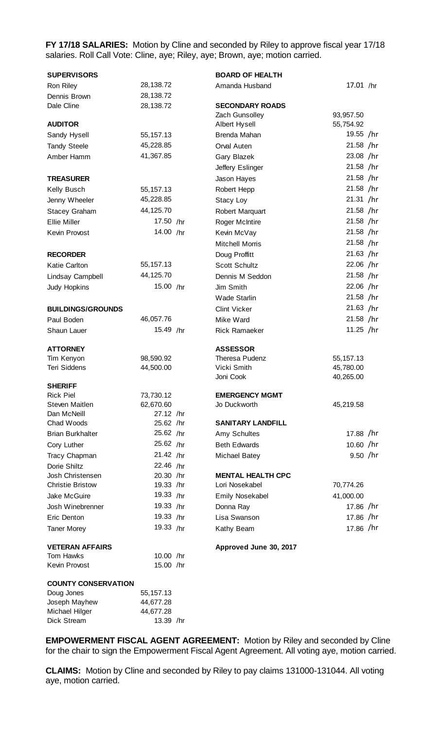**FY 17/18 SALARIES:** Motion by Cline and seconded by Riley to approve fiscal year 17/18 salaries. Roll Call Vote: Cline, aye; Riley, aye; Brown, aye; motion carried.

| <b>SUPERVISORS</b>                       |                        | <b>BOARD OF HEALTH</b>              |             |  |  |  |
|------------------------------------------|------------------------|-------------------------------------|-------------|--|--|--|
| Ron Riley                                | 28,138.72              | Amanda Husband                      | 17.01 /hr   |  |  |  |
| Dennis Brown                             | 28,138.72              |                                     |             |  |  |  |
| Dale Cline                               | 28,138.72              | <b>SECONDARY ROADS</b>              |             |  |  |  |
|                                          |                        | Zach Gunsolley                      | 93,957.50   |  |  |  |
| <b>AUDITOR</b>                           |                        | Albert Hysell                       | 55,754.92   |  |  |  |
| Sandy Hysell                             | 55, 157. 13            | Brenda Mahan                        | 19.55 /hr   |  |  |  |
| <b>Tandy Steele</b>                      | 45,228.85              | Orval Auten                         | 21.58 /hr   |  |  |  |
| Amber Hamm                               | 41,367.85              | Gary Blazek                         | 23.08 /hr   |  |  |  |
|                                          |                        | Jeffery Eslinger                    | $21.58$ /hr |  |  |  |
| <b>TREASURER</b>                         |                        | Jason Hayes                         | $21.58$ /hr |  |  |  |
| Kelly Busch                              | 55, 157. 13            | Robert Hepp                         | $21.58$ /hr |  |  |  |
| Jenny Wheeler                            | 45,228.85              | Stacy Loy                           | 21.31 / hr  |  |  |  |
| <b>Stacey Graham</b>                     | 44,125.70              | Robert Marquart                     | 21.58 /hr   |  |  |  |
| <b>Ellie Miller</b>                      | 17.50 /hr              | <b>Roger McIntire</b>               | $21.58$ /hr |  |  |  |
| Kevin Provost                            | 14.00 /hr              | Kevin McVay                         | 21.58 /hr   |  |  |  |
|                                          |                        | <b>Mitchell Morris</b>              | 21.58 /hr   |  |  |  |
| <b>RECORDER</b>                          |                        | Doug Proffitt                       | 21.63 / hr  |  |  |  |
| <b>Katie Carlton</b>                     | 55, 157. 13            | Scott Schultz                       | 22.06 /hr   |  |  |  |
| Lindsay Campbell                         | 44,125.70              | Dennis M Seddon                     | $21.58$ /hr |  |  |  |
| Judy Hopkins                             | 15.00 /hr              | Jim Smith                           | 22.06 /hr   |  |  |  |
|                                          |                        | <b>Wade Starlin</b>                 | $21.58$ /hr |  |  |  |
| <b>BUILDINGS/GROUNDS</b>                 |                        | <b>Clint Vicker</b>                 | $21.63$ /hr |  |  |  |
| Paul Boden                               | 46,057.76              | Mike Ward                           | 21.58 /hr   |  |  |  |
| Shaun Lauer                              | 15.49 /hr              | <b>Rick Ramaeker</b>                | 11.25 /hr   |  |  |  |
|                                          |                        |                                     |             |  |  |  |
| <b>ATTORNEY</b>                          |                        | <b>ASSESSOR</b>                     |             |  |  |  |
| Tim Kenyon                               | 98,590.92              | Theresa Pudenz                      | 55, 157. 13 |  |  |  |
| <b>Teri Siddens</b>                      | 44,500.00              | Vicki Smith                         | 45,780.00   |  |  |  |
|                                          |                        | Joni Cook                           | 40,265.00   |  |  |  |
| <b>SHERIFF</b><br><b>Rick Piel</b>       | 73,730.12              | <b>EMERGENCY MGMT</b>               |             |  |  |  |
| Steven Maitlen                           | 62,670.60              | Jo Duckworth                        |             |  |  |  |
| Dan McNeill                              |                        |                                     |             |  |  |  |
|                                          |                        |                                     | 45,219.58   |  |  |  |
| Chad Woods                               | 27.12 /hr<br>25.62 /hr | <b>SANITARY LANDFILL</b>            |             |  |  |  |
| <b>Brian Burkhalter</b>                  | 25.62 /hr              |                                     | 17.88 /hr   |  |  |  |
|                                          | 25.62 /hr              | Amy Schultes<br><b>Beth Edwards</b> | 10.60 /hr   |  |  |  |
| Cory Luther                              |                        |                                     |             |  |  |  |
| Tracy Chapman                            | 21.42 /hr              | <b>Michael Batey</b>                | $9.50$ /hr  |  |  |  |
| Dorie Shiltz<br>Josh Christensen         | 22.46 /hr<br>20.30 /hr | <b>MENTAL HEALTH CPC</b>            |             |  |  |  |
| <b>Christie Bristow</b>                  | 19.33 /hr              | Lori Nosekabel                      | 70,774.26   |  |  |  |
| Jake McGuire                             | 19.33 /hr              | Emily Nosekabel                     | 41,000.00   |  |  |  |
| Josh Winebrenner                         | 19.33 /hr              | Donna Ray                           | 17.86 /hr   |  |  |  |
| Eric Denton                              | 19.33 /hr              | Lisa Swanson                        | 17.86 /hr   |  |  |  |
| <b>Taner Morey</b>                       | 19.33 /hr              | Kathy Beam                          | 17.86 /hr   |  |  |  |
|                                          |                        |                                     |             |  |  |  |
| <b>VETERAN AFFAIRS</b>                   |                        | Approved June 30, 2017              |             |  |  |  |
| Tom Hawks                                | 10.00 /hr              |                                     |             |  |  |  |
| Kevin Provost                            | 15.00 /hr              |                                     |             |  |  |  |
|                                          |                        |                                     |             |  |  |  |
| <b>COUNTY CONSERVATION</b><br>Doug Jones | 55, 157. 13            |                                     |             |  |  |  |
| Joseph Mayhew                            | 44,677.28              |                                     |             |  |  |  |

Dick Stream 13.39 /hr

**EMPOWERMENT FISCAL AGENT AGREEMENT:** Motion by Riley and seconded by Cline for the chair to sign the Empowerment Fiscal Agent Agreement. All voting aye, motion carried.

**CLAIMS:** Motion by Cline and seconded by Riley to pay claims 131000-131044. All voting aye, motion carried.